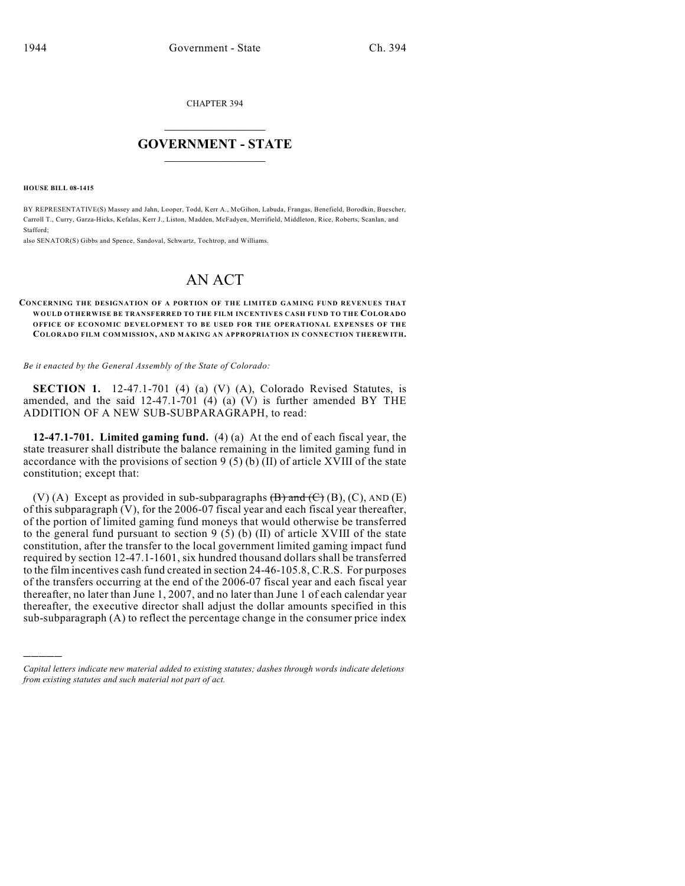CHAPTER 394

## $\mathcal{L}_\text{max}$  . The set of the set of the set of the set of the set of the set of the set of the set of the set of the set of the set of the set of the set of the set of the set of the set of the set of the set of the set **GOVERNMENT - STATE**  $\_$   $\_$

**HOUSE BILL 08-1415**

)))))

BY REPRESENTATIVE(S) Massey and Jahn, Looper, Todd, Kerr A., McGihon, Labuda, Frangas, Benefield, Borodkin, Buescher, Carroll T., Curry, Garza-Hicks, Kefalas, Kerr J., Liston, Madden, McFadyen, Merrifield, Middleton, Rice, Roberts, Scanlan, and Stafford;

also SENATOR(S) Gibbs and Spence, Sandoval, Schwartz, Tochtrop, and Williams.

## AN ACT

## **CONCERNING THE DESIGNATION OF A PORTION OF THE LIMITED GAMING FUND REVENUES THAT WOULD OTHERWISE BE TRANSFERRED TO THE FILM INCENTIVES CASH FUND TO THE COLORADO OFFICE OF ECONOMIC DEVELOPMENT TO BE USED FOR THE OPERATIONAL EXPENSES OF THE COLORADO FILM COMMISSION, AND M AKING AN APPROPRIATION IN CONNECTION THEREWITH.**

*Be it enacted by the General Assembly of the State of Colorado:*

**SECTION 1.** 12-47.1-701 (4) (a) (V) (A), Colorado Revised Statutes, is amended, and the said 12-47.1-701 (4) (a) (V) is further amended BY THE ADDITION OF A NEW SUB-SUBPARAGRAPH, to read:

**12-47.1-701. Limited gaming fund.** (4) (a) At the end of each fiscal year, the state treasurer shall distribute the balance remaining in the limited gaming fund in accordance with the provisions of section 9 (5) (b)  $\overline{(\text{II})}$  of article XVIII of the state constitution; except that:

(V) (A) Except as provided in sub-subparagraphs  $(\overline{B})$  and  $(\overline{C})$  (B), (C), AND (E) of this subparagraph (V), for the 2006-07 fiscal year and each fiscal year thereafter, of the portion of limited gaming fund moneys that would otherwise be transferred to the general fund pursuant to section 9 (5) (b) (II) of article XVIII of the state constitution, after the transfer to the local government limited gaming impact fund required by section 12-47.1-1601, six hundred thousand dollars shall be transferred to the film incentives cash fund created in section 24-46-105.8, C.R.S. For purposes of the transfers occurring at the end of the 2006-07 fiscal year and each fiscal year thereafter, no later than June 1, 2007, and no later than June 1 of each calendar year thereafter, the executive director shall adjust the dollar amounts specified in this sub-subparagraph (A) to reflect the percentage change in the consumer price index

*Capital letters indicate new material added to existing statutes; dashes through words indicate deletions from existing statutes and such material not part of act.*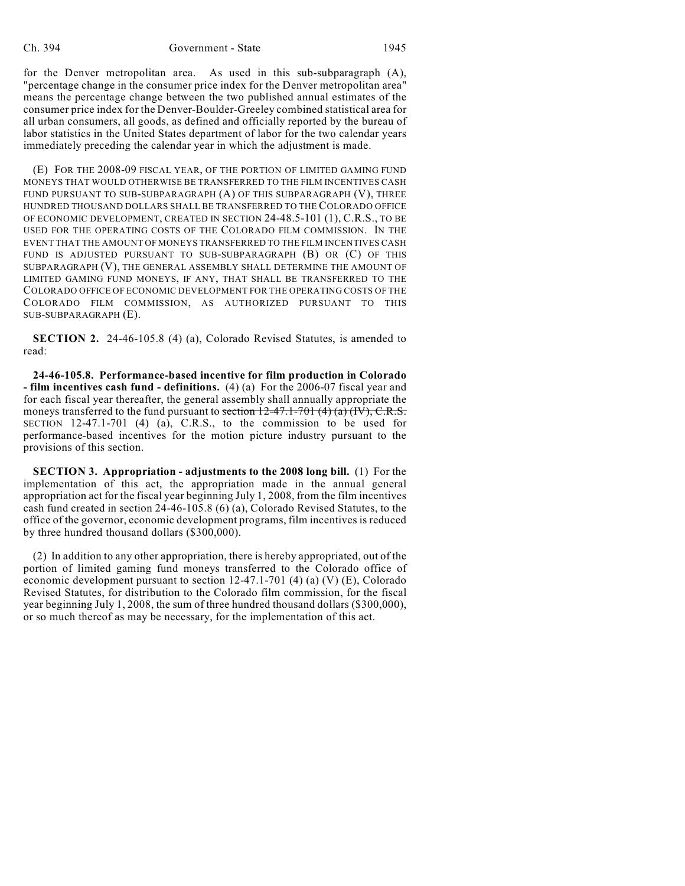for the Denver metropolitan area. As used in this sub-subparagraph (A), "percentage change in the consumer price index for the Denver metropolitan area" means the percentage change between the two published annual estimates of the consumer price index for the Denver-Boulder-Greeley combined statistical area for all urban consumers, all goods, as defined and officially reported by the bureau of labor statistics in the United States department of labor for the two calendar years immediately preceding the calendar year in which the adjustment is made.

(E) FOR THE 2008-09 FISCAL YEAR, OF THE PORTION OF LIMITED GAMING FUND MONEYS THAT WOULD OTHERWISE BE TRANSFERRED TO THE FILM INCENTIVES CASH FUND PURSUANT TO SUB-SUBPARAGRAPH (A) OF THIS SUBPARAGRAPH (V), THREE HUNDRED THOUSAND DOLLARS SHALL BE TRANSFERRED TO THE COLORADO OFFICE OF ECONOMIC DEVELOPMENT, CREATED IN SECTION 24-48.5-101 (1), C.R.S., TO BE USED FOR THE OPERATING COSTS OF THE COLORADO FILM COMMISSION. IN THE EVENT THAT THE AMOUNT OF MONEYS TRANSFERRED TO THE FILM INCENTIVES CASH FUND IS ADJUSTED PURSUANT TO SUB-SUBPARAGRAPH (B) OR (C) OF THIS SUBPARAGRAPH (V), THE GENERAL ASSEMBLY SHALL DETERMINE THE AMOUNT OF LIMITED GAMING FUND MONEYS, IF ANY, THAT SHALL BE TRANSFERRED TO THE COLORADO OFFICE OF ECONOMIC DEVELOPMENT FOR THE OPERATING COSTS OF THE COLORADO FILM COMMISSION, AS AUTHORIZED PURSUANT TO THIS SUB-SUBPARAGRAPH (E).

**SECTION 2.** 24-46-105.8 (4) (a), Colorado Revised Statutes, is amended to read:

**24-46-105.8. Performance-based incentive for film production in Colorado - film incentives cash fund - definitions.** (4) (a) For the 2006-07 fiscal year and for each fiscal year thereafter, the general assembly shall annually appropriate the moneys transferred to the fund pursuant to section  $12-47.1-701$  (4) (a) (IV), C.R.S. SECTION 12-47.1-701 (4) (a), C.R.S., to the commission to be used for performance-based incentives for the motion picture industry pursuant to the provisions of this section.

**SECTION 3. Appropriation - adjustments to the 2008 long bill.** (1) For the implementation of this act, the appropriation made in the annual general appropriation act for the fiscal year beginning July 1, 2008, from the film incentives cash fund created in section 24-46-105.8 (6) (a), Colorado Revised Statutes, to the office of the governor, economic development programs, film incentives is reduced by three hundred thousand dollars (\$300,000).

(2) In addition to any other appropriation, there is hereby appropriated, out of the portion of limited gaming fund moneys transferred to the Colorado office of economic development pursuant to section  $12-47.1-701$  (4) (a) (V) (E), Colorado Revised Statutes, for distribution to the Colorado film commission, for the fiscal year beginning July 1, 2008, the sum of three hundred thousand dollars (\$300,000), or so much thereof as may be necessary, for the implementation of this act.